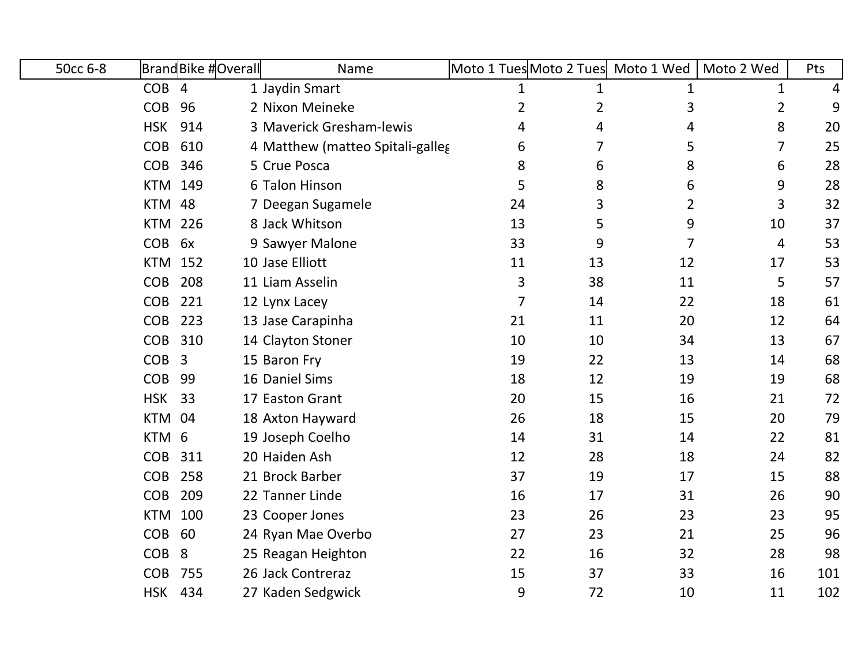| 50cc 6-8 |                  | <b>BrandBike #Overall</b> | Name                             |                |                | Moto 1 Tues Moto 2 Tues Moto 1 Wed | Moto 2 Wed     | Pts |
|----------|------------------|---------------------------|----------------------------------|----------------|----------------|------------------------------------|----------------|-----|
|          | COB <sub>4</sub> |                           | 1 Jaydin Smart                   | 1              | $\mathbf 1$    | 1                                  | 1              | 4   |
|          | <b>COB</b>       | 96                        | 2 Nixon Meineke                  | 2              | $\overline{2}$ | 3                                  | $\overline{2}$ | 9   |
|          | <b>HSK</b>       | 914                       | 3 Maverick Gresham-lewis         | 4              | 4              | 4                                  | 8              | 20  |
|          | <b>COB</b>       | 610                       | 4 Matthew (matteo Spitali-galleg | 6              | 7              | 5                                  | $\overline{7}$ | 25  |
|          | <b>COB</b>       | 346                       | 5 Crue Posca                     | 8              | 6              | 8                                  | 6              | 28  |
|          | <b>KTM</b>       | 149                       | 6 Talon Hinson                   | 5              | 8              | 6                                  | 9              | 28  |
|          | <b>KTM</b>       | 48                        | 7 Deegan Sugamele                | 24             | 3              | $\overline{2}$                     | 3              | 32  |
|          | <b>KTM</b>       | 226                       | 8 Jack Whitson                   | 13             | 5              | 9                                  | 10             | 37  |
|          | <b>COB</b>       | 6x                        | 9 Sawyer Malone                  | 33             | 9              | 7                                  | 4              | 53  |
|          | <b>KTM</b>       | 152                       | 10 Jase Elliott                  | 11             | 13             | 12                                 | 17             | 53  |
|          | <b>COB</b>       | 208                       | 11 Liam Asselin                  | 3              | 38             | 11                                 | 5              | 57  |
|          | <b>COB</b>       | 221                       | 12 Lynx Lacey                    | $\overline{7}$ | 14             | 22                                 | 18             | 61  |
|          | <b>COB</b>       | 223                       | 13 Jase Carapinha                | 21             | 11             | 20                                 | 12             | 64  |
|          | <b>COB</b>       | 310                       | 14 Clayton Stoner                | 10             | 10             | 34                                 | 13             | 67  |
|          | <b>COB</b>       | 3                         | 15 Baron Fry                     | 19             | 22             | 13                                 | 14             | 68  |
|          | <b>COB</b>       | 99                        | 16 Daniel Sims                   | 18             | 12             | 19                                 | 19             | 68  |
|          | <b>HSK</b>       | 33                        | 17 Easton Grant                  | 20             | 15             | 16                                 | 21             | 72  |
|          | <b>KTM</b>       | 04                        | 18 Axton Hayward                 | 26             | 18             | 15                                 | 20             | 79  |
|          | <b>KTM</b>       | 6                         | 19 Joseph Coelho                 | 14             | 31             | 14                                 | 22             | 81  |
|          | <b>COB</b>       | 311                       | 20 Haiden Ash                    | 12             | 28             | 18                                 | 24             | 82  |
|          | <b>COB</b>       | 258                       | 21 Brock Barber                  | 37             | 19             | 17                                 | 15             | 88  |
|          | <b>COB</b>       | 209                       | 22 Tanner Linde                  | 16             | 17             | 31                                 | 26             | 90  |
|          | <b>KTM</b>       | 100                       | 23 Cooper Jones                  | 23             | 26             | 23                                 | 23             | 95  |
|          | <b>COB</b>       | 60                        | 24 Ryan Mae Overbo               | 27             | 23             | 21                                 | 25             | 96  |
|          | <b>COB</b>       | 8                         | 25 Reagan Heighton               | 22             | 16             | 32                                 | 28             | 98  |
|          | <b>COB</b>       | 755                       | 26 Jack Contreraz                | 15             | 37             | 33                                 | 16             | 101 |
|          | <b>HSK</b>       | 434                       | 27 Kaden Sedgwick                | 9              | 72             | 10                                 | 11             | 102 |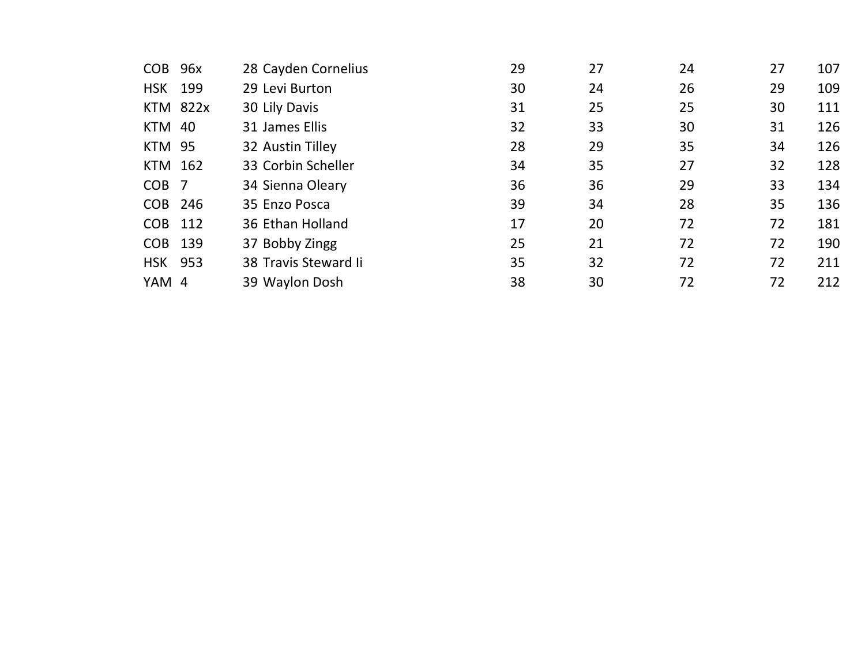| <b>COB</b>       | 96x             | 28 Cayden Cornelius  | 29 | 27 | 24 | 27 | 107 |
|------------------|-----------------|----------------------|----|----|----|----|-----|
| <b>HSK</b>       | 199             | 29 Levi Burton       | 30 | 24 | 26 | 29 | 109 |
|                  | <b>KTM 822x</b> | 30 Lily Davis        | 31 | 25 | 25 | 30 | 111 |
| KTM 40           |                 | 31 James Ellis       | 32 | 33 | 30 | 31 | 126 |
| <b>KTM 95</b>    |                 | 32 Austin Tilley     | 28 | 29 | 35 | 34 | 126 |
| <b>KTM 162</b>   |                 | 33 Corbin Scheller   | 34 | 35 | 27 | 32 | 128 |
| COB <sub>7</sub> |                 | 34 Sienna Oleary     | 36 | 36 | 29 | 33 | 134 |
| COB 246          |                 | 35 Enzo Posca        | 39 | 34 | 28 | 35 | 136 |
| <b>COB</b>       | 112             | 36 Ethan Holland     | 17 | 20 | 72 | 72 | 181 |
| COB 139          |                 | 37 Bobby Zingg       | 25 | 21 | 72 | 72 | 190 |
| <b>HSK 953</b>   |                 | 38 Travis Steward Ii | 35 | 32 | 72 | 72 | 211 |
| YAM 4            |                 | 39 Waylon Dosh       | 38 | 30 | 72 | 72 | 212 |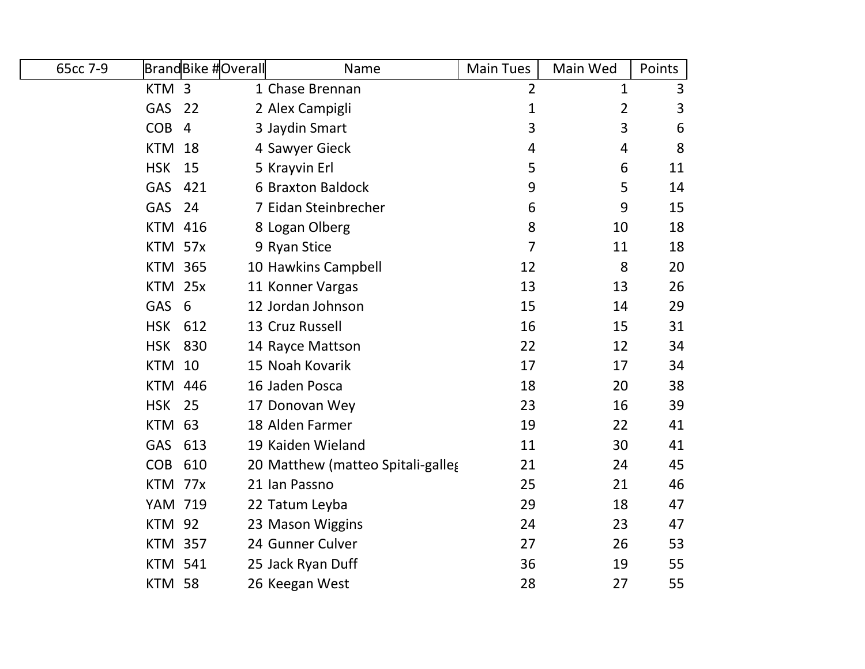| 65cc 7-9 |                | <b>BrandBike #Overall</b> | Name                              | <b>Main Tues</b> | Main Wed       | Points |
|----------|----------------|---------------------------|-----------------------------------|------------------|----------------|--------|
|          | KTM 3          |                           | 1 Chase Brennan                   | $\overline{2}$   | 1              | 3      |
|          | <b>GAS</b>     | 22                        | 2 Alex Campigli                   | 1                | 2              | 3      |
|          | <b>COB</b>     | $\overline{4}$            | 3 Jaydin Smart                    | 3                | 3              | 6      |
|          | <b>KTM</b>     | 18                        | 4 Sawyer Gieck                    | 4                | $\overline{4}$ | 8      |
|          | <b>HSK</b>     | 15                        | 5 Krayvin Erl                     | 5                | 6              | 11     |
|          | <b>GAS</b>     | 421                       | 6 Braxton Baldock                 | 9                | 5              | 14     |
|          | <b>GAS</b>     | 24                        | 7 Eidan Steinbrecher              | 6                | 9              | 15     |
|          | <b>KTM 416</b> |                           | 8 Logan Olberg                    | 8                | 10             | 18     |
|          | KTM 57x        |                           | 9 Ryan Stice                      | $\overline{7}$   | 11             | 18     |
|          | <b>KTM 365</b> |                           | 10 Hawkins Campbell               | 12               | 8              | 20     |
|          | KTM 25x        |                           | 11 Konner Vargas                  | 13               | 13             | 26     |
|          | GAS 6          |                           | 12 Jordan Johnson                 | 15               | 14             | 29     |
|          | <b>HSK</b>     | 612                       | 13 Cruz Russell                   | 16               | 15             | 31     |
|          | <b>HSK</b>     | 830                       | 14 Rayce Mattson                  | 22               | 12             | 34     |
|          | <b>KTM 10</b>  |                           | 15 Noah Kovarik                   | 17               | 17             | 34     |
|          | <b>KTM 446</b> |                           | 16 Jaden Posca                    | 18               | 20             | 38     |
|          | <b>HSK</b>     | 25                        | 17 Donovan Wey                    | 23               | 16             | 39     |
|          | <b>KTM 63</b>  |                           | 18 Alden Farmer                   | 19               | 22             | 41     |
|          | <b>GAS</b>     | 613                       | 19 Kaiden Wieland                 | 11               | 30             | 41     |
|          | <b>COB</b>     | 610                       | 20 Matthew (matteo Spitali-galleg | 21               | 24             | 45     |
|          | KTM 77x        |                           | 21 Ian Passno                     | 25               | 21             | 46     |
|          | <b>YAM 719</b> |                           | 22 Tatum Leyba                    | 29               | 18             | 47     |
|          | <b>KTM 92</b>  |                           | 23 Mason Wiggins                  | 24               | 23             | 47     |
|          | <b>KTM 357</b> |                           | 24 Gunner Culver                  | 27               | 26             | 53     |
|          | <b>KTM 541</b> |                           | 25 Jack Ryan Duff                 | 36               | 19             | 55     |
|          | <b>KTM 58</b>  |                           | 26 Keegan West                    | 28               | 27             | 55     |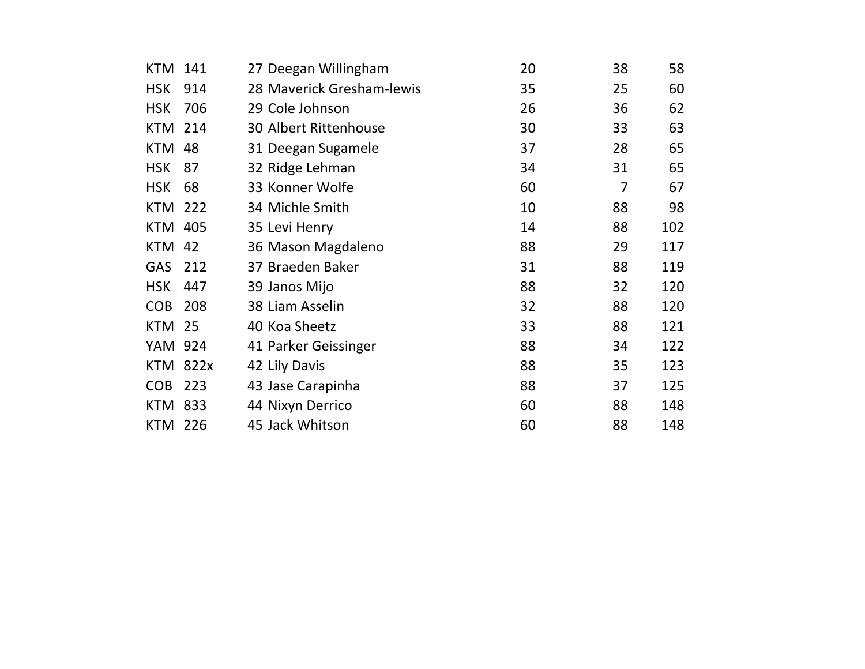| KTM            | 141  | 27 Deegan Willingham         | 20 | 38 | 58  |
|----------------|------|------------------------------|----|----|-----|
| <b>HSK</b>     | 914  | 28 Maverick Gresham-lewis    | 35 | 25 | 60  |
| <b>HSK</b>     | 706  | 29 Cole Johnson              | 26 | 36 | 62  |
| <b>KTM</b>     | 214  | <b>30 Albert Rittenhouse</b> | 30 | 33 | 63  |
| <b>KTM</b>     | 48   | 31 Deegan Sugamele           | 37 | 28 | 65  |
| <b>HSK</b>     | 87   | 32 Ridge Lehman              | 34 | 31 | 65  |
| <b>HSK</b>     | 68   | 33 Konner Wolfe              | 60 | 7  | 67  |
| <b>KTM</b>     | 222  | 34 Michle Smith              | 10 | 88 | 98  |
| <b>KTM</b>     | 405  | 35 Levi Henry                | 14 | 88 | 102 |
| <b>KTM</b>     | 42   | 36 Mason Magdaleno           | 88 | 29 | 117 |
| <b>GAS</b>     | 212  | 37 Braeden Baker             | 31 | 88 | 119 |
| <b>HSK</b>     | 447  | 39 Janos Mijo                | 88 | 32 | 120 |
| <b>COB</b>     | 208  | 38 Liam Asselin              | 32 | 88 | 120 |
| <b>KTM</b>     | 25   | 40 Koa Sheetz                | 33 | 88 | 121 |
| YAM 924        |      | 41 Parker Geissinger         | 88 | 34 | 122 |
| KTM            | 822x | 42 Lily Davis                | 88 | 35 | 123 |
| <b>COB</b>     | 223  | 43 Jase Carapinha            | 88 | 37 | 125 |
| <b>KTM</b>     | 833  | 44 Nixyn Derrico             | 60 | 88 | 148 |
| <b>KTM 226</b> |      | 45 Jack Whitson              | 60 | 88 | 148 |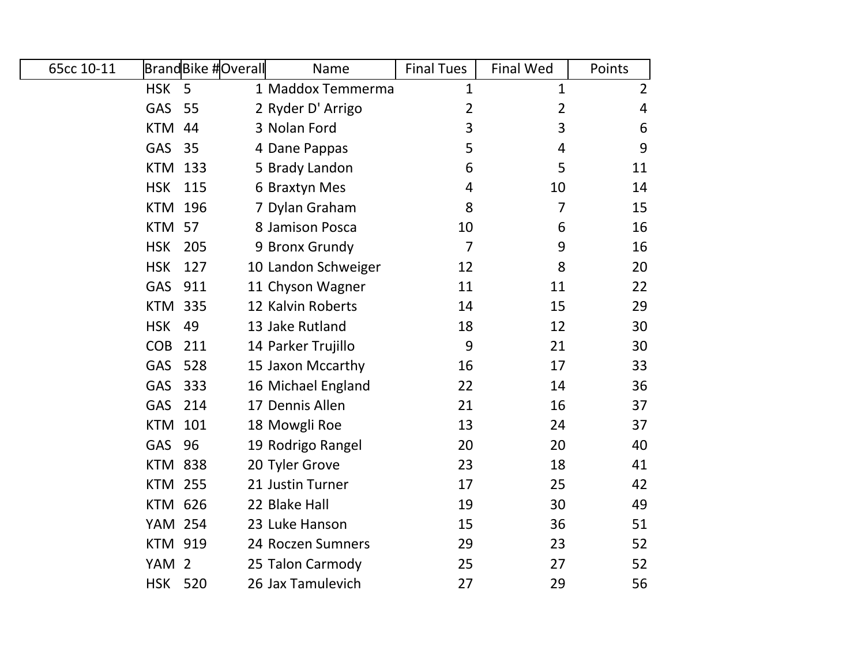| 65cc 10-11 |                  | <b>BrandBike #Overall</b> | Name                | <b>Final Tues</b> | <b>Final Wed</b> | Points         |
|------------|------------------|---------------------------|---------------------|-------------------|------------------|----------------|
|            | <b>HSK</b>       | $\overline{5}$            | 1 Maddox Temmerma   | $\mathbf{1}$      | 1                | $\overline{2}$ |
|            | <b>GAS</b>       | 55                        | 2 Ryder D' Arrigo   | 2                 | $\overline{2}$   | 4              |
|            | <b>KTM</b>       | 44                        | 3 Nolan Ford        | 3                 | 3                | 6              |
|            | <b>GAS</b>       | 35                        | 4 Dane Pappas       | 5                 | $\overline{4}$   | 9              |
|            | <b>KTM 133</b>   |                           | 5 Brady Landon      | 6                 | 5                | 11             |
|            | <b>HSK</b>       | 115                       | 6 Braxtyn Mes       | 4                 | 10               | 14             |
|            | <b>KTM</b>       | 196                       | 7 Dylan Graham      | 8                 | 7                | 15             |
|            | <b>KTM 57</b>    |                           | 8 Jamison Posca     | 10                | 6                | 16             |
|            | <b>HSK</b>       | 205                       | 9 Bronx Grundy      | $\overline{7}$    | 9                | 16             |
|            | <b>HSK</b>       | 127                       | 10 Landon Schweiger | 12                | 8                | 20             |
|            | <b>GAS</b>       | 911                       | 11 Chyson Wagner    | 11                | 11               | 22             |
|            | <b>KTM</b>       | 335                       | 12 Kalvin Roberts   | 14                | 15               | 29             |
|            | <b>HSK</b>       | 49                        | 13 Jake Rutland     | 18                | 12               | 30             |
|            | <b>COB</b>       | 211                       | 14 Parker Trujillo  | 9                 | 21               | 30             |
|            | <b>GAS</b>       | 528                       | 15 Jaxon Mccarthy   | 16                | 17               | 33             |
|            | GAS              | 333                       | 16 Michael England  | 22                | 14               | 36             |
|            | <b>GAS</b>       | 214                       | 17 Dennis Allen     | 21                | 16               | 37             |
|            | <b>KTM 101</b>   |                           | 18 Mowgli Roe       | 13                | 24               | 37             |
|            | GAS              | 96                        | 19 Rodrigo Rangel   | 20                | 20               | 40             |
|            | <b>KTM 838</b>   |                           | 20 Tyler Grove      | 23                | 18               | 41             |
|            | <b>KTM</b>       | 255                       | 21 Justin Turner    | 17                | 25               | 42             |
|            | <b>KTM 626</b>   |                           | 22 Blake Hall       | 19                | 30               | 49             |
|            | <b>YAM 254</b>   |                           | 23 Luke Hanson      | 15                | 36               | 51             |
|            | <b>KTM 919</b>   |                           | 24 Roczen Sumners   | 29                | 23               | 52             |
|            | YAM <sub>2</sub> |                           | 25 Talon Carmody    | 25                | 27               | 52             |
|            | <b>HSK</b>       | 520                       | 26 Jax Tamulevich   | 27                | 29               | 56             |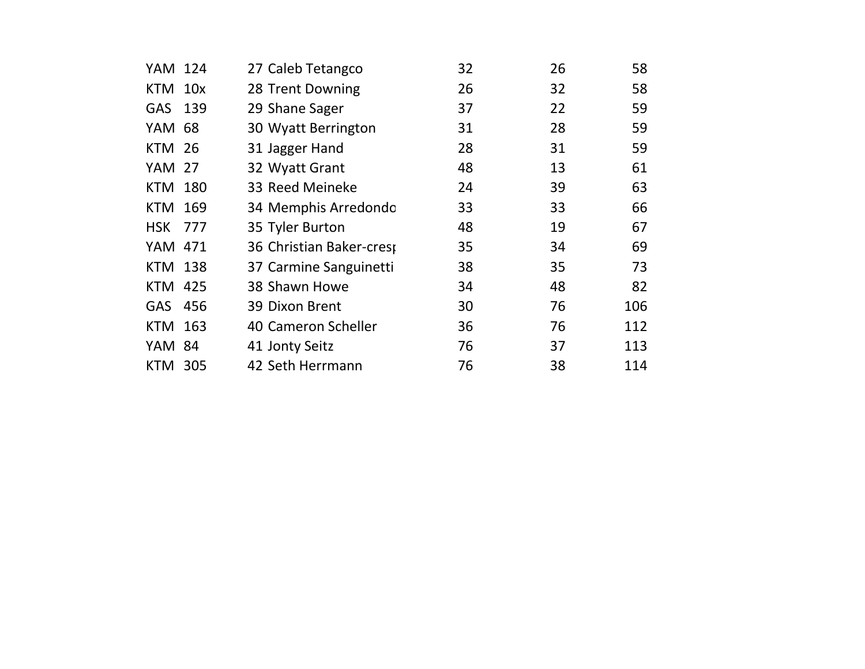| YAM 124        |     | 27 Caleb Tetangco        | 32 | 26 | 58  |
|----------------|-----|--------------------------|----|----|-----|
| KTM 10x        |     | 28 Trent Downing         | 26 | 32 | 58  |
| GAS 139        |     | 29 Shane Sager           | 37 | 22 | 59  |
| YAM            | -68 | 30 Wyatt Berrington      | 31 | 28 | 59  |
| <b>KTM 26</b>  |     | 31 Jagger Hand           | 28 | 31 | 59  |
| <b>YAM 27</b>  |     | 32 Wyatt Grant           | 48 | 13 | 61  |
| <b>KTM</b>     | 180 | 33 Reed Meineke          | 24 | 39 | 63  |
| <b>KTM</b>     | 169 | 34 Memphis Arredondo     | 33 | 33 | 66  |
| <b>HSK 777</b> |     | 35 Tyler Burton          | 48 | 19 | 67  |
| YAM            | 471 | 36 Christian Baker-crest | 35 | 34 | 69  |
| KTM 138        |     | 37 Carmine Sanguinetti   | 38 | 35 | 73  |
| <b>KTM 425</b> |     | 38 Shawn Howe            | 34 | 48 | 82  |
| GAS 456        |     | 39 Dixon Brent           | 30 | 76 | 106 |
| <b>KTM</b>     | 163 | 40 Cameron Scheller      | 36 | 76 | 112 |
| YAM 84         |     | 41 Jonty Seitz           | 76 | 37 | 113 |
| KTM 305        |     | 42 Seth Herrmann         | 76 | 38 | 114 |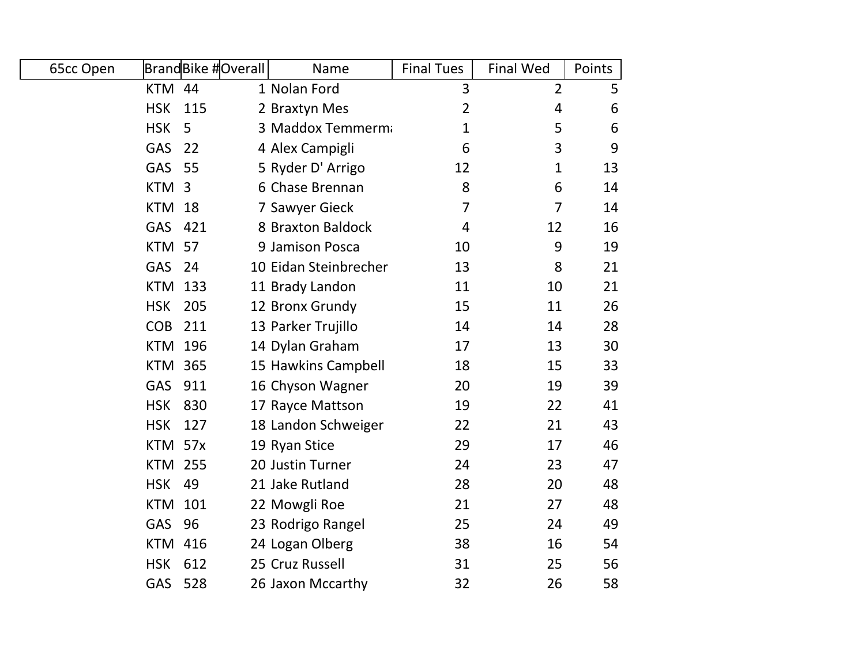| 65cc Open      | BrandBike #Overall | Name                  | <b>Final Tues</b> | <b>Final Wed</b> | Points |
|----------------|--------------------|-----------------------|-------------------|------------------|--------|
| <b>KTM 44</b>  |                    | 1 Nolan Ford          | 3                 | $\overline{2}$   | 5      |
| <b>HSK</b>     | 115                | 2 Braxtyn Mes         | $\overline{2}$    | 4                | 6      |
| <b>HSK</b>     | 5                  | 3 Maddox Temmerma     | 1                 | 5                | 6      |
| GAS            | 22                 | 4 Alex Campigli       | 6                 | 3                | 9      |
| <b>GAS</b>     | 55                 | 5 Ryder D' Arrigo     | 12                | 1                | 13     |
| KTM 3          |                    | 6 Chase Brennan       | 8                 | 6                | 14     |
| <b>KTM</b>     | 18                 | 7 Sawyer Gieck        | $\overline{7}$    | 7                | 14     |
| <b>GAS</b>     | 421                | 8 Braxton Baldock     | 4                 | 12               | 16     |
| <b>KTM</b>     | 57                 | 9 Jamison Posca       | 10                | 9                | 19     |
| <b>GAS</b>     | 24                 | 10 Eidan Steinbrecher | 13                | 8                | 21     |
| <b>KTM</b>     | 133                | 11 Brady Landon       | 11                | 10               | 21     |
| <b>HSK</b>     | 205                | 12 Bronx Grundy       | 15                | 11               | 26     |
| <b>COB</b>     | 211                | 13 Parker Trujillo    | 14                | 14               | 28     |
|                | <b>KTM 196</b>     | 14 Dylan Graham       | 17                | 13               | 30     |
|                | <b>KTM 365</b>     | 15 Hawkins Campbell   | 18                | 15               | 33     |
| <b>GAS</b>     | 911                | 16 Chyson Wagner      | 20                | 19               | 39     |
| <b>HSK</b>     | 830                | 17 Rayce Mattson      | 19                | 22               | 41     |
| <b>HSK</b>     | 127                | 18 Landon Schweiger   | 22                | 21               | 43     |
| KTM 57x        |                    | 19 Ryan Stice         | 29                | 17               | 46     |
| <b>KTM 255</b> |                    | 20 Justin Turner      | 24                | 23               | 47     |
| <b>HSK</b>     | 49                 | 21 Jake Rutland       | 28                | 20               | 48     |
| <b>KTM</b>     | 101                | 22 Mowgli Roe         | 21                | 27               | 48     |
| <b>GAS</b>     | 96                 | 23 Rodrigo Rangel     | 25                | 24               | 49     |
|                | <b>KTM 416</b>     | 24 Logan Olberg       | 38                | 16               | 54     |
| <b>HSK</b>     | 612                | 25 Cruz Russell       | 31                | 25               | 56     |
| GAS            | 528                | 26 Jaxon Mccarthy     | 32                | 26               | 58     |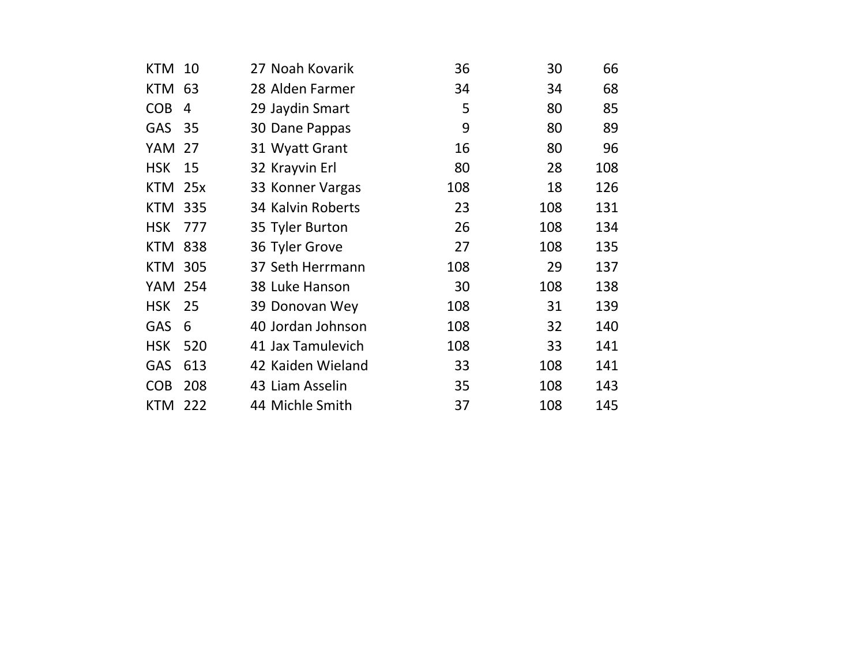| <b>KTM</b>     | 10  | 27 Noah Kovarik   | 36  | 30  | 66  |
|----------------|-----|-------------------|-----|-----|-----|
| <b>KTM</b>     | 63  | 28 Alden Farmer   | 34  | 34  | 68  |
| <b>COB</b>     | 4   | 29 Jaydin Smart   | 5   | 80  | 85  |
| GAS            | 35  | 30 Dane Pappas    | 9   | 80  | 89  |
| YAM            | 27  | 31 Wyatt Grant    | 16  | 80  | 96  |
| <b>HSK</b>     | 15  | 32 Krayvin Erl    | 80  | 28  | 108 |
| <b>KTM</b>     | 25x | 33 Konner Vargas  | 108 | 18  | 126 |
| <b>KTM</b>     | 335 | 34 Kalvin Roberts | 23  | 108 | 131 |
| <b>HSK</b>     | 777 | 35 Tyler Burton   | 26  | 108 | 134 |
| <b>KTM</b>     | 838 | 36 Tyler Grove    | 27  | 108 | 135 |
| KTM            | 305 | 37 Seth Herrmann  | 108 | 29  | 137 |
| <b>YAM 254</b> |     | 38 Luke Hanson    | 30  | 108 | 138 |
| <b>HSK</b>     | 25  | 39 Donovan Wey    | 108 | 31  | 139 |
| GAS            | 6   | 40 Jordan Johnson | 108 | 32  | 140 |
| <b>HSK</b>     | 520 | 41 Jax Tamulevich | 108 | 33  | 141 |
| GAS            | 613 | 42 Kaiden Wieland | 33  | 108 | 141 |
| <b>COB</b>     | 208 | 43 Liam Asselin   | 35  | 108 | 143 |
| <b>KTM</b>     | 222 | 44 Michle Smith   | 37  | 108 | 145 |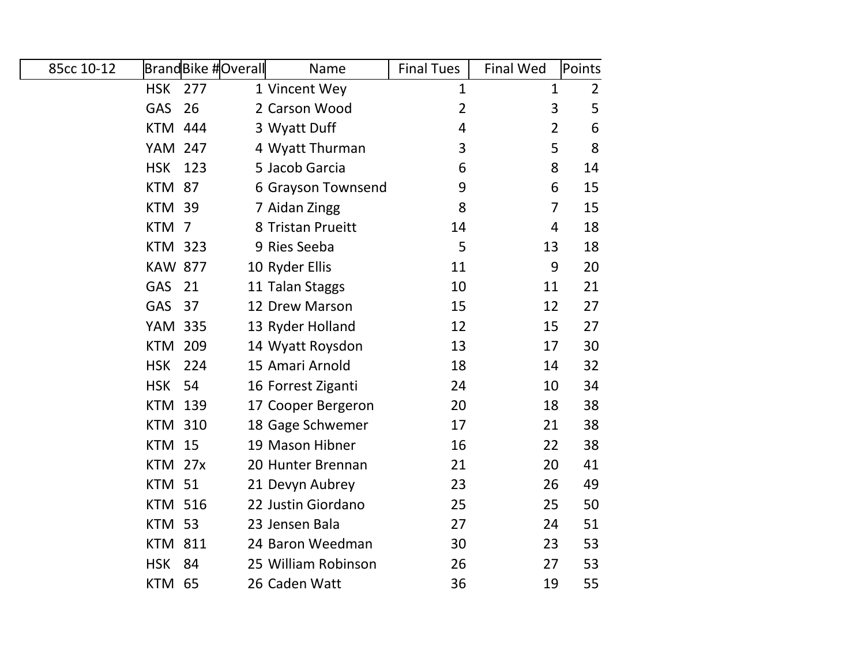| 85cc 10-12 |                | <b>BrandBike #Overall</b> | Name                | <b>Final Tues</b> | <b>Final Wed</b> | Points         |
|------------|----------------|---------------------------|---------------------|-------------------|------------------|----------------|
|            | <b>HSK</b>     | 277                       | 1 Vincent Wey       | $\mathbf{1}$      | $\mathbf{1}$     | $\overline{2}$ |
|            | GAS            | 26                        | 2 Carson Wood       | $\overline{2}$    | 3                | 5              |
|            | <b>KTM 444</b> |                           | 3 Wyatt Duff        | 4                 | $\overline{2}$   | 6              |
|            | <b>YAM 247</b> |                           | 4 Wyatt Thurman     | 3                 | 5                | 8              |
|            | <b>HSK</b>     | 123                       | 5 Jacob Garcia      | 6                 | 8                | 14             |
|            | <b>KTM</b>     | 87                        | 6 Grayson Townsend  | 9                 | 6                | 15             |
|            | <b>KTM</b>     | 39                        | 7 Aidan Zingg       | 8                 | $\overline{7}$   | 15             |
|            | <b>KTM</b>     | $\overline{7}$            | 8 Tristan Prueitt   | 14                | 4                | 18             |
|            | <b>KTM 323</b> |                           | 9 Ries Seeba        | 5                 | 13               | 18             |
|            | <b>KAW 877</b> |                           | 10 Ryder Ellis      | 11                | 9                | 20             |
|            | <b>GAS</b>     | 21                        | 11 Talan Staggs     | 10                | 11               | 21             |
|            | <b>GAS</b>     | 37                        | 12 Drew Marson      | 15                | 12               | 27             |
|            | <b>YAM 335</b> |                           | 13 Ryder Holland    | 12                | 15               | 27             |
|            | <b>KTM 209</b> |                           | 14 Wyatt Roysdon    | 13                | 17               | 30             |
|            | <b>HSK</b>     | 224                       | 15 Amari Arnold     | 18                | 14               | 32             |
|            | <b>HSK</b>     | 54                        | 16 Forrest Ziganti  | 24                | 10               | 34             |
|            | <b>KTM</b>     | 139                       | 17 Cooper Bergeron  | 20                | 18               | 38             |
|            | <b>KTM 310</b> |                           | 18 Gage Schwemer    | 17                | 21               | 38             |
|            | <b>KTM 15</b>  |                           | 19 Mason Hibner     | 16                | 22               | 38             |
|            | <b>KTM</b>     | 27x                       | 20 Hunter Brennan   | 21                | 20               | 41             |
|            | <b>KTM</b>     | 51                        | 21 Devyn Aubrey     | 23                | 26               | 49             |
|            | <b>KTM 516</b> |                           | 22 Justin Giordano  | 25                | 25               | 50             |
|            | <b>KTM 53</b>  |                           | 23 Jensen Bala      | 27                | 24               | 51             |
|            | <b>KTM</b>     | 811                       | 24 Baron Weedman    | 30                | 23               | 53             |
|            | <b>HSK</b>     | 84                        | 25 William Robinson | 26                | 27               | 53             |
|            | <b>KTM 65</b>  |                           | 26 Caden Watt       | 36                | 19               | 55             |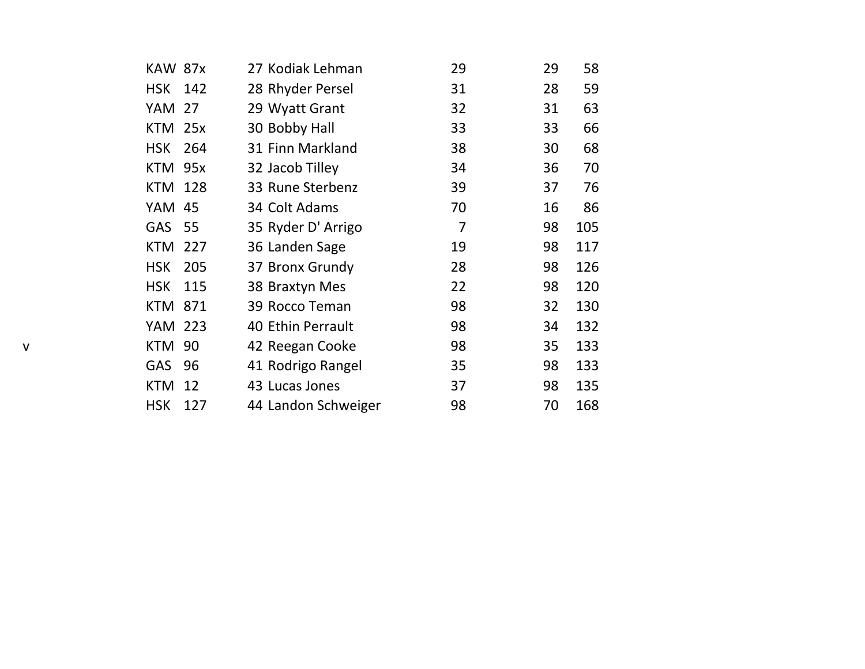|   | <b>KAW 87x</b> |     | 27 Kodiak Lehman    | 29 | 29 | 58  |
|---|----------------|-----|---------------------|----|----|-----|
|   | HSK 142        |     | 28 Rhyder Persel    | 31 | 28 | 59  |
|   | <b>YAM 27</b>  |     | 29 Wyatt Grant      | 32 | 31 | 63  |
|   | KTM 25x        |     | 30 Bobby Hall       | 33 | 33 | 66  |
|   | <b>HSK</b>     | 264 | 31 Finn Markland    | 38 | 30 | 68  |
|   | KTM 95x        |     | 32 Jacob Tilley     | 34 | 36 | 70  |
|   | <b>KTM 128</b> |     | 33 Rune Sterbenz    | 39 | 37 | 76  |
|   | YAM 45         |     | 34 Colt Adams       | 70 | 16 | 86  |
|   | <b>GAS</b>     | 55  | 35 Ryder D' Arrigo  | 7  | 98 | 105 |
|   | KTM            | 227 | 36 Landen Sage      | 19 | 98 | 117 |
|   | <b>HSK</b>     | 205 | 37 Bronx Grundy     | 28 | 98 | 126 |
|   | <b>HSK</b>     | 115 | 38 Braxtyn Mes      | 22 | 98 | 120 |
|   | <b>KTM 871</b> |     | 39 Rocco Teman      | 98 | 32 | 130 |
|   | YAM 223        |     | 40 Ethin Perrault   | 98 | 34 | 132 |
| v | <b>KTM</b>     | 90  | 42 Reegan Cooke     | 98 | 35 | 133 |
|   | <b>GAS</b>     | 96  | 41 Rodrigo Rangel   | 35 | 98 | 133 |
|   | KTM            | 12  | 43 Lucas Jones      | 37 | 98 | 135 |
|   | <b>HSK</b>     | 127 | 44 Landon Schweiger | 98 | 70 | 168 |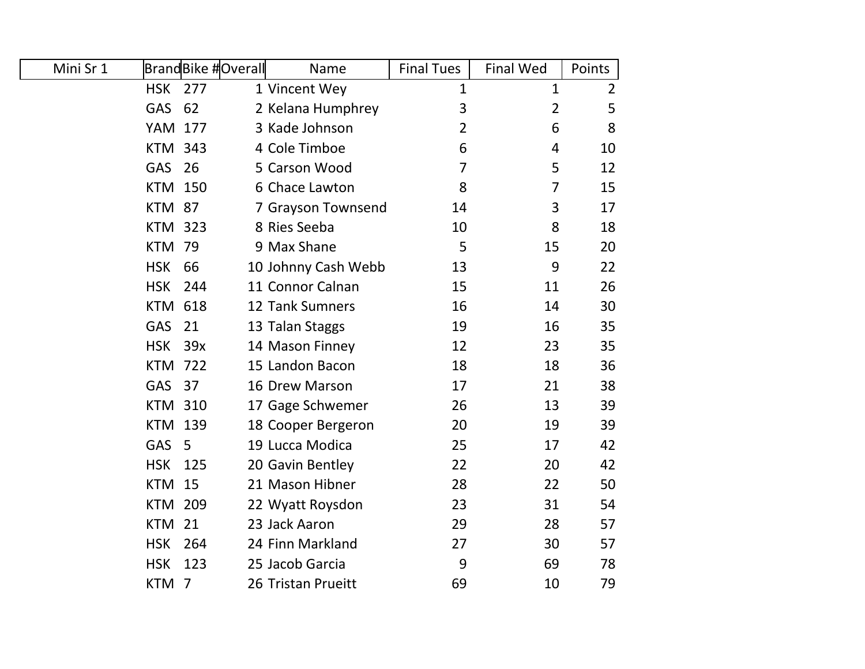| Mini Sr 1 |                | BrandBike #Overall | Name                | <b>Final Tues</b> | <b>Final Wed</b> | Points         |
|-----------|----------------|--------------------|---------------------|-------------------|------------------|----------------|
|           | <b>HSK</b>     | 277                | 1 Vincent Wey       | 1                 | $\mathbf{1}$     | $\overline{2}$ |
|           | <b>GAS</b>     | 62                 | 2 Kelana Humphrey   | 3                 | $\overline{2}$   | 5              |
|           | <b>YAM 177</b> |                    | 3 Kade Johnson      | 2                 | 6                | 8              |
|           | <b>KTM 343</b> |                    | 4 Cole Timboe       | 6                 | 4                | 10             |
|           | <b>GAS</b>     | 26                 | 5 Carson Wood       | 7                 | 5                | 12             |
|           | <b>KTM 150</b> |                    | 6 Chace Lawton      | 8                 | 7                | 15             |
|           | <b>KTM</b>     | 87                 | 7 Grayson Townsend  | 14                | 3                | 17             |
|           | <b>KTM 323</b> |                    | 8 Ries Seeba        | 10                | 8                | 18             |
|           | <b>KTM</b>     | 79                 | 9 Max Shane         | 5                 | 15               | 20             |
|           | <b>HSK</b>     | 66                 | 10 Johnny Cash Webb | 13                | 9                | 22             |
|           | <b>HSK</b>     | 244                | 11 Connor Calnan    | 15                | 11               | 26             |
|           | <b>KTM 618</b> |                    | 12 Tank Sumners     | 16                | 14               | 30             |
|           | <b>GAS</b>     | 21                 | 13 Talan Staggs     | 19                | 16               | 35             |
|           | <b>HSK</b>     | 39x                | 14 Mason Finney     | 12                | 23               | 35             |
|           | <b>KTM 722</b> |                    | 15 Landon Bacon     | 18                | 18               | 36             |
|           | <b>GAS</b>     | 37                 | 16 Drew Marson      | 17                | 21               | 38             |
|           | <b>KTM 310</b> |                    | 17 Gage Schwemer    | 26                | 13               | 39             |
|           | <b>KTM 139</b> |                    | 18 Cooper Bergeron  | 20                | 19               | 39             |
|           | <b>GAS</b>     | 5                  | 19 Lucca Modica     | 25                | 17               | 42             |
|           | <b>HSK</b>     | 125                | 20 Gavin Bentley    | 22                | 20               | 42             |
|           | <b>KTM</b>     | 15                 | 21 Mason Hibner     | 28                | 22               | 50             |
|           | <b>KTM 209</b> |                    | 22 Wyatt Roysdon    | 23                | 31               | 54             |
|           | <b>KTM</b>     | 21                 | 23 Jack Aaron       | 29                | 28               | 57             |
|           | <b>HSK</b>     | 264                | 24 Finn Markland    | 27                | 30               | 57             |
|           | <b>HSK</b>     | 123                | 25 Jacob Garcia     | 9                 | 69               | 78             |
|           | KTM            | - 7                | 26 Tristan Prueitt  | 69                | 10               | 79             |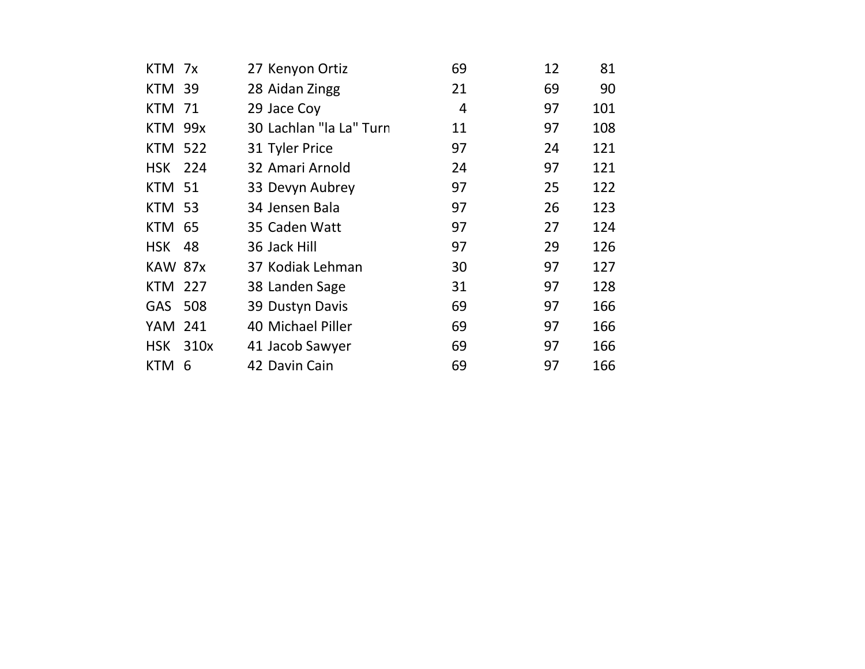| KTM 7x         |      | 27 Kenyon Ortiz         | 69 | 12 | 81  |
|----------------|------|-------------------------|----|----|-----|
| <b>KTM 39</b>  |      | 28 Aidan Zingg          | 21 | 69 | 90  |
| <b>KTM 71</b>  |      | 29 Jace Coy             | 4  | 97 | 101 |
| <b>KTM 99x</b> |      | 30 Lachlan "la La" Turn | 11 | 97 | 108 |
| <b>KTM 522</b> |      | 31 Tyler Price          | 97 | 24 | 121 |
| <b>HSK 224</b> |      | 32 Amari Arnold         | 24 | 97 | 121 |
| <b>KTM 51</b>  |      | 33 Devyn Aubrey         | 97 | 25 | 122 |
| <b>KTM 53</b>  |      | 34 Jensen Bala          | 97 | 26 | 123 |
| <b>KTM 65</b>  |      | 35 Caden Watt           | 97 | 27 | 124 |
| <b>HSK</b>     | 48   | 36 Jack Hill            | 97 | 29 | 126 |
| <b>KAW 87x</b> |      | 37 Kodiak Lehman        | 30 | 97 | 127 |
| <b>KTM 227</b> |      | 38 Landen Sage          | 31 | 97 | 128 |
| GAS 508        |      | 39 Dustyn Davis         | 69 | 97 | 166 |
| YAM 241        |      | 40 Michael Piller       | 69 | 97 | 166 |
| HSK            | 310x | 41 Jacob Sawyer         | 69 | 97 | 166 |
| KTM            | 6    | 42 Davin Cain           | 69 | 97 | 166 |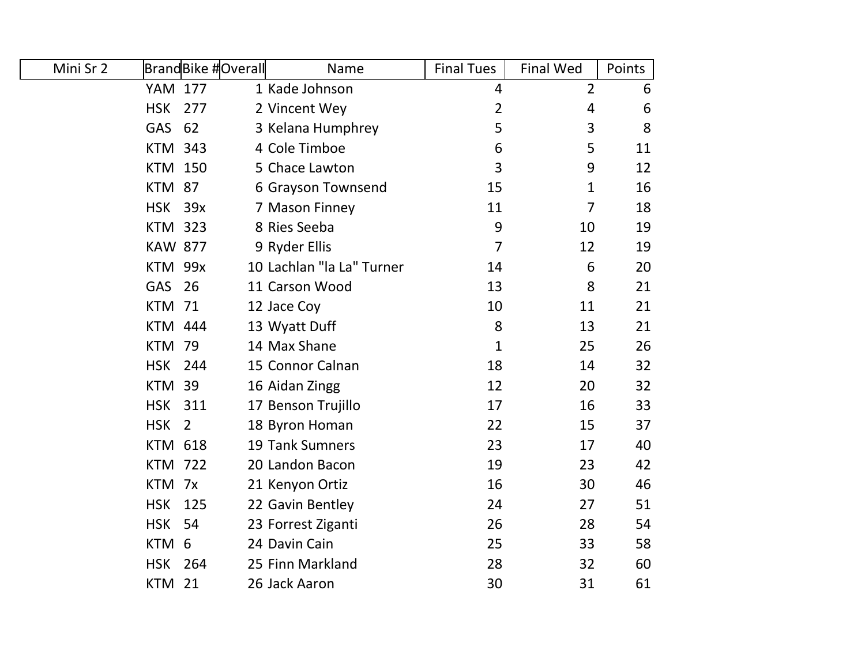| Mini Sr 2 |                | BrandBike #Overall | Name                      | <b>Final Tues</b> | <b>Final Wed</b> | Points |
|-----------|----------------|--------------------|---------------------------|-------------------|------------------|--------|
|           | <b>YAM 177</b> |                    | 1 Kade Johnson            | $\overline{4}$    | $\overline{2}$   | 6      |
|           | <b>HSK</b>     | 277                | 2 Vincent Wey             | $\overline{2}$    | $\overline{4}$   | 6      |
|           | <b>GAS</b>     | 62                 | 3 Kelana Humphrey         | 5                 | 3                | 8      |
|           | <b>KTM 343</b> |                    | 4 Cole Timboe             | 6                 | 5                | 11     |
|           | <b>KTM 150</b> |                    | 5 Chace Lawton            | 3                 | 9                | 12     |
|           | <b>KTM 87</b>  |                    | 6 Grayson Townsend        | 15                | 1                | 16     |
|           | <b>HSK</b>     | 39x                | 7 Mason Finney            | 11                | $\overline{7}$   | 18     |
|           | <b>KTM 323</b> |                    | 8 Ries Seeba              | 9                 | 10               | 19     |
|           | <b>KAW 877</b> |                    | 9 Ryder Ellis             | $\overline{7}$    | 12               | 19     |
|           | KTM 99x        |                    | 10 Lachlan "la La" Turner | 14                | 6                | 20     |
|           | GAS            | 26                 | 11 Carson Wood            | 13                | 8                | 21     |
|           | <b>KTM</b>     | 71                 | 12 Jace Coy               | 10                | 11               | 21     |
|           | <b>KTM 444</b> |                    | 13 Wyatt Duff             | 8                 | 13               | 21     |
|           | <b>KTM 79</b>  |                    | 14 Max Shane              | 1                 | 25               | 26     |
|           | <b>HSK</b>     | 244                | 15 Connor Calnan          | 18                | 14               | 32     |
|           | <b>KTM</b>     | 39                 | 16 Aidan Zingg            | 12                | 20               | 32     |
|           | <b>HSK</b>     | 311                | 17 Benson Trujillo        | 17                | 16               | 33     |
|           | <b>HSK</b>     | $\overline{2}$     | 18 Byron Homan            | 22                | 15               | 37     |
|           | <b>KTM 618</b> |                    | <b>19 Tank Sumners</b>    | 23                | 17               | 40     |
|           | <b>KTM 722</b> |                    | 20 Landon Bacon           | 19                | 23               | 42     |
|           | <b>KTM</b>     | 7x                 | 21 Kenyon Ortiz           | 16                | 30               | 46     |
|           | <b>HSK</b>     | 125                | 22 Gavin Bentley          | 24                | 27               | 51     |
|           | <b>HSK</b>     | 54                 | 23 Forrest Ziganti        | 26                | 28               | 54     |
|           | <b>KTM</b>     | 6                  | 24 Davin Cain             | 25                | 33               | 58     |
|           | <b>HSK</b>     | 264                | 25 Finn Markland          | 28                | 32               | 60     |
|           | <b>KTM 21</b>  |                    | 26 Jack Aaron             | 30                | 31               | 61     |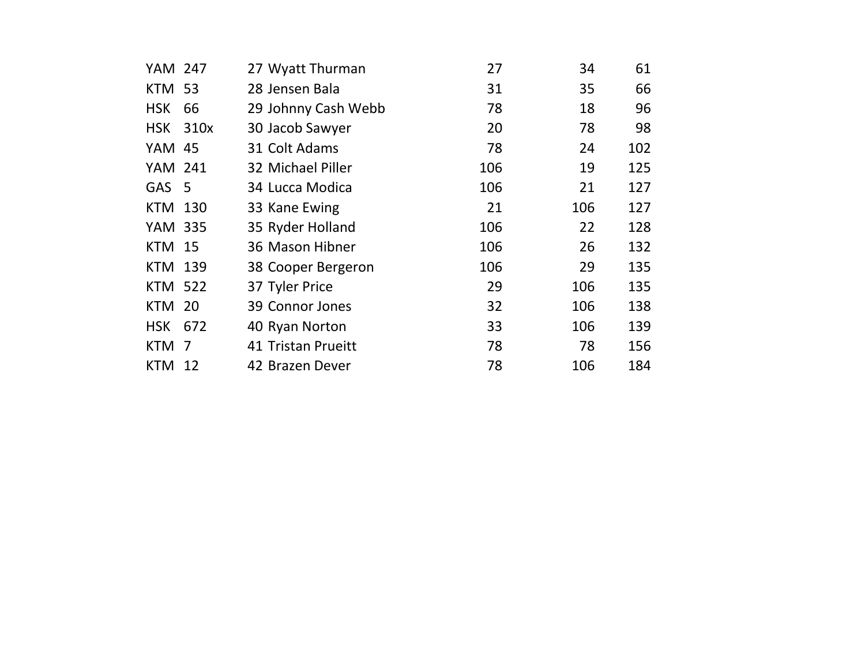| YAM 247          |      | 27 Wyatt Thurman    | 27  | 34  | 61  |
|------------------|------|---------------------|-----|-----|-----|
| <b>KTM 53</b>    |      | 28 Jensen Bala      | 31  | 35  | 66  |
| <b>HSK</b>       | 66   | 29 Johnny Cash Webb | 78  | 18  | 96  |
| <b>HSK</b>       | 310x | 30 Jacob Sawyer     | 20  | 78  | 98  |
| YAM 45           |      | 31 Colt Adams       | 78  | 24  | 102 |
| <b>YAM 241</b>   |      | 32 Michael Piller   | 106 | 19  | 125 |
| GAS <sub>5</sub> |      | 34 Lucca Modica     | 106 | 21  | 127 |
| KTM 130          |      | 33 Kane Ewing       | 21  | 106 | 127 |
| YAM 335          |      | 35 Ryder Holland    | 106 | 22  | 128 |
| <b>KTM</b>       | 15   | 36 Mason Hibner     | 106 | 26  | 132 |
| KTM 139          |      | 38 Cooper Bergeron  | 106 | 29  | 135 |
| <b>KTM 522</b>   |      | 37 Tyler Price      | 29  | 106 | 135 |
| KTM              | 20   | 39 Connor Jones     | 32  | 106 | 138 |
| <b>HSK</b>       | 672  | 40 Ryan Norton      | 33  | 106 | 139 |
| <b>KTM</b>       | 7    | 41 Tristan Prueitt  | 78  | 78  | 156 |
| KTM              | 12   | 42 Brazen Dever     | 78  | 106 | 184 |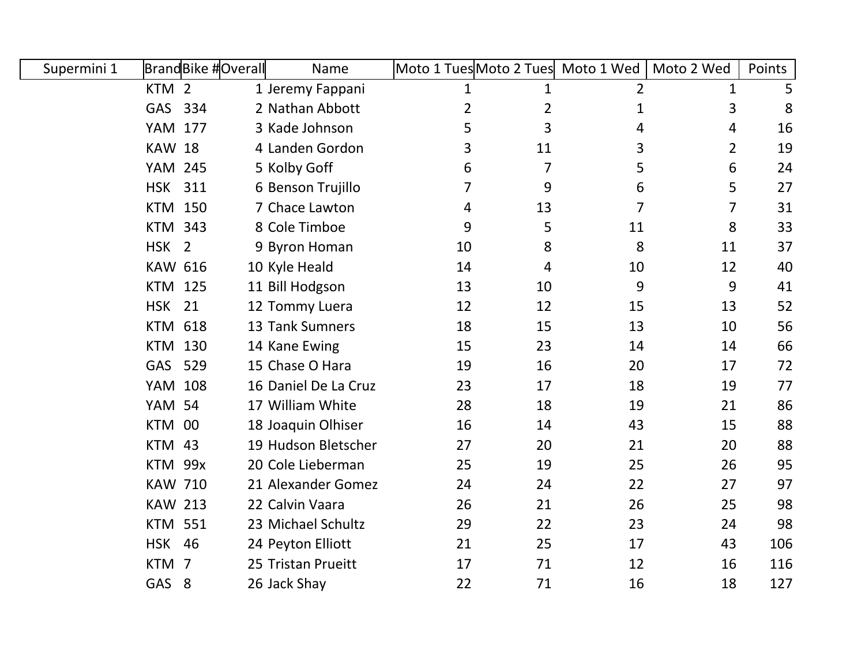| Supermini 1 |                  | <b>BrandBike #Overall</b> | Name                 | Moto 1 Tues Moto 2 Tues Moto 1 Wed |    |                | Moto 2 Wed     | Points |
|-------------|------------------|---------------------------|----------------------|------------------------------------|----|----------------|----------------|--------|
|             | KTM <sub>2</sub> |                           | 1 Jeremy Fappani     | 1                                  | 1  | $\overline{2}$ | 1              | 5      |
|             | GAS 334          |                           | 2 Nathan Abbott      | $\overline{2}$                     | 2  | $\mathbf 1$    | 3              | 8      |
|             | YAM              | 177                       | 3 Kade Johnson       | 5                                  | 3  | 4              | 4              | 16     |
|             | <b>KAW 18</b>    |                           | 4 Landen Gordon      | 3                                  | 11 | 3              | $\overline{2}$ | 19     |
|             | <b>YAM 245</b>   |                           | 5 Kolby Goff         | 6                                  | 7  | 5              | 6              | 24     |
|             | <b>HSK 311</b>   |                           | 6 Benson Trujillo    | 7                                  | 9  | 6              | 5              | 27     |
|             | <b>KTM 150</b>   |                           | 7 Chace Lawton       | 4                                  | 13 | $\overline{7}$ | $\overline{7}$ | 31     |
|             | <b>KTM</b>       | 343                       | 8 Cole Timboe        | 9                                  | 5  | 11             | 8              | 33     |
|             | HSK <sub>2</sub> |                           | 9 Byron Homan        | 10                                 | 8  | 8              | 11             | 37     |
|             | <b>KAW 616</b>   |                           | 10 Kyle Heald        | 14                                 | 4  | 10             | 12             | 40     |
|             | <b>KTM 125</b>   |                           | 11 Bill Hodgson      | 13                                 | 10 | 9              | 9              | 41     |
|             | <b>HSK</b>       | 21                        | 12 Tommy Luera       | 12                                 | 12 | 15             | 13             | 52     |
|             | <b>KTM 618</b>   |                           | 13 Tank Sumners      | 18                                 | 15 | 13             | 10             | 56     |
|             | <b>KTM 130</b>   |                           | 14 Kane Ewing        | 15                                 | 23 | 14             | 14             | 66     |
|             | GAS              | 529                       | 15 Chase O Hara      | 19                                 | 16 | 20             | 17             | 72     |
|             | YAM              | 108                       | 16 Daniel De La Cruz | 23                                 | 17 | 18             | 19             | 77     |
|             | <b>YAM 54</b>    |                           | 17 William White     | 28                                 | 18 | 19             | 21             | 86     |
|             | KTM 00           |                           | 18 Joaquin Olhiser   | 16                                 | 14 | 43             | 15             | 88     |
|             | KTM 43           |                           | 19 Hudson Bletscher  | 27                                 | 20 | 21             | 20             | 88     |
|             | KTM 99x          |                           | 20 Cole Lieberman    | 25                                 | 19 | 25             | 26             | 95     |
|             | <b>KAW 710</b>   |                           | 21 Alexander Gomez   | 24                                 | 24 | 22             | 27             | 97     |
|             | <b>KAW 213</b>   |                           | 22 Calvin Vaara      | 26                                 | 21 | 26             | 25             | 98     |
|             | <b>KTM 551</b>   |                           | 23 Michael Schultz   | 29                                 | 22 | 23             | 24             | 98     |
|             | <b>HSK 46</b>    |                           | 24 Peyton Elliott    | 21                                 | 25 | 17             | 43             | 106    |
|             | KTM 7            |                           | 25 Tristan Prueitt   | 17                                 | 71 | 12             | 16             | 116    |
|             | GAS 8            |                           | 26 Jack Shay         | 22                                 | 71 | 16             | 18             | 127    |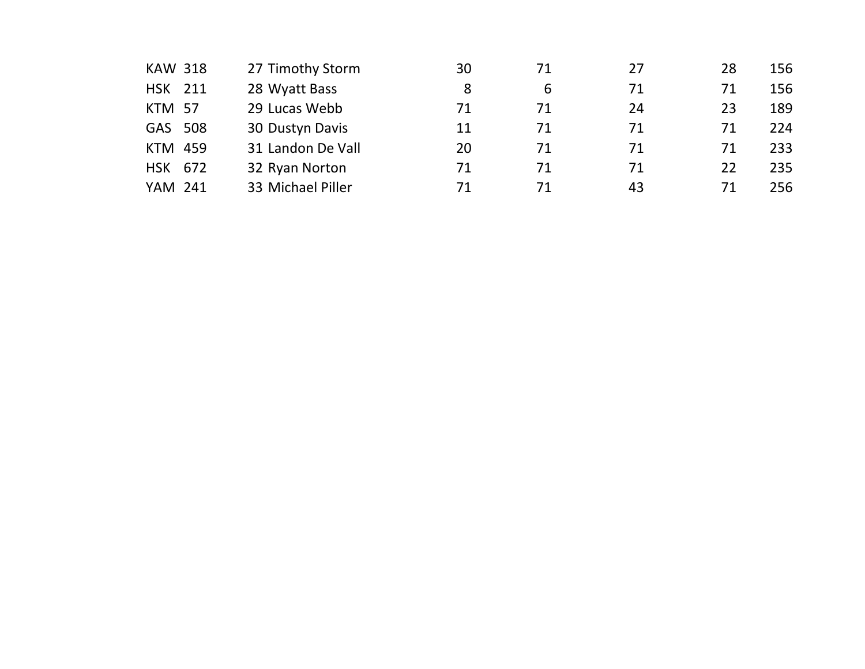| <b>KAW 318</b> | 27 Timothy Storm  | 30 | 71 | 27 | 28 | 156 |
|----------------|-------------------|----|----|----|----|-----|
| HSK 211        | 28 Wyatt Bass     | 8  | 6  | 71 | 71 | 156 |
| <b>KTM 57</b>  | 29 Lucas Webb     | 71 | 71 | 24 | 23 | 189 |
| GAS 508        | 30 Dustyn Davis   | 11 | 71 | 71 | 71 | 224 |
| <b>KTM 459</b> | 31 Landon De Vall | 20 | 71 | 71 | 71 | 233 |
| HSK 672        | 32 Ryan Norton    | 71 | 71 | 71 | 22 | 235 |
| <b>YAM 241</b> | 33 Michael Piller | 71 | 71 | 43 | 71 | 256 |